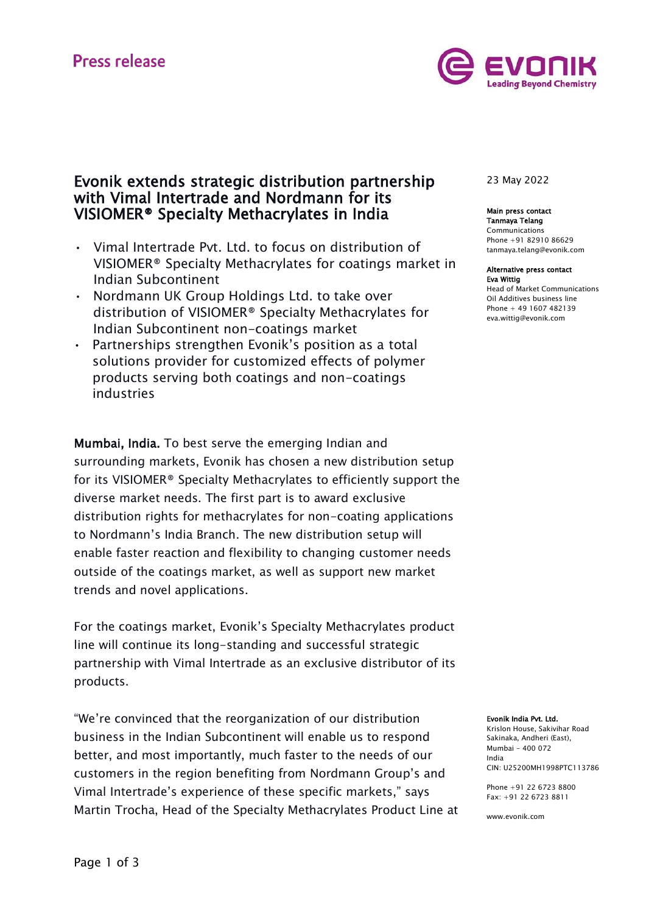# **Press release**



# Evonik extends strategic distribution partnership with Vimal Intertrade and Nordmann for its VISIOMER® Specialty Methacrylates in India

- Vimal Intertrade Pvt. Ltd. to focus on distribution of VISIOMER® Specialty Methacrylates for coatings market in Indian Subcontinent
- Nordmann UK Group Holdings Ltd. to take over distribution of VISIOMER® Specialty Methacrylates for Indian Subcontinent non-coatings market
- Partnerships strengthen Evonik's position as a total solutions provider for customized effects of polymer products serving both coatings and non-coatings industries

Mumbai, India. To best serve the emerging Indian and surrounding markets, Evonik has chosen a new distribution setup for its VISIOMER® Specialty Methacrylates to efficiently support the diverse market needs. The first part is to award exclusive distribution rights for methacrylates for non-coating applications to Nordmann's India Branch. The new distribution setup will enable faster reaction and flexibility to changing customer needs outside of the coatings market, as well as support new market trends and novel applications.

For the coatings market, Evonik's Specialty Methacrylates product line will continue its long-standing and successful strategic partnership with Vimal Intertrade as an exclusive distributor of its products.

"We're convinced that the reorganization of our distribution business in the Indian Subcontinent will enable us to respond better, and most importantly, much faster to the needs of our customers in the region benefiting from Nordmann Group's and Vimal Intertrade's experience of these specific markets," says Martin Trocha, Head of the Specialty Methacrylates Product Line at

## 23 May 2022

# Main press contact

Tanmaya Telang Communications Phone +91 82910 86629 [tanmaya.telang@evonik.com](mailto:tanmaya.telang@evonik.com)

#### Alternative press contact Eva Wittig Head of Market Communications Oil Additives business line

Phone + 49 1607 482139 eva.wittig@evonik.com

#### Evonik India Pvt. Ltd.

Krislon House, Sakivihar Road Sakinaka, Andheri (East), Mumbai – 400 072 India CIN: U25200MH1998PTC113786

Phone +91 22 6723 8800  $Fay: +91$  22 6723 8811

www.evonik.com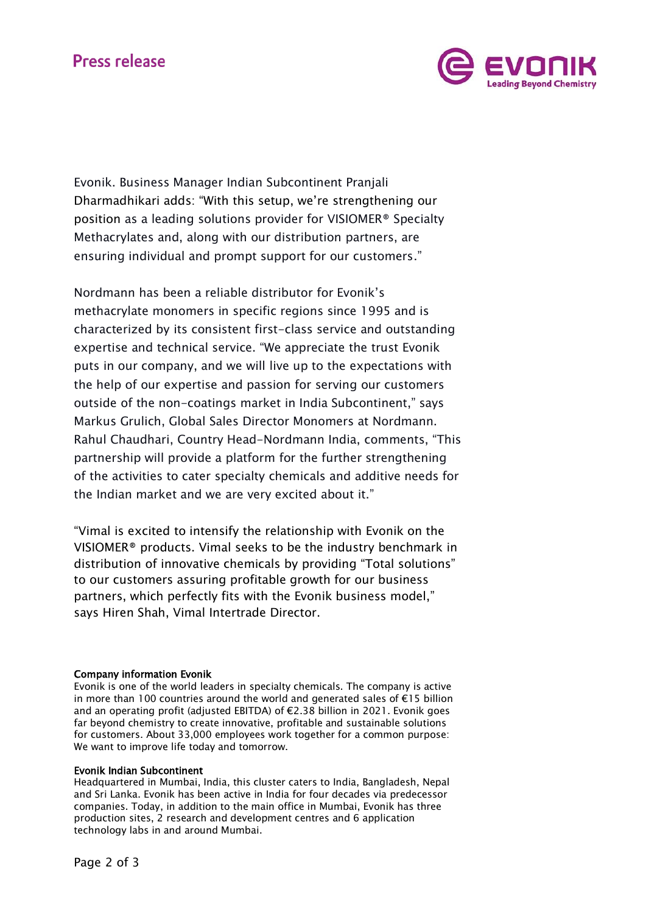# **Press release**



Evonik. Business Manager Indian Subcontinent Pranjali Dharmadhikari adds: "With this setup, we're strengthening our position as a leading solutions provider for VISIOMER® Specialty Methacrylates and, along with our distribution partners, are ensuring individual and prompt support for our customers."

Nordmann has been a reliable distributor for Evonik's methacrylate monomers in specific regions since 1995 and is characterized by its consistent first-class service and outstanding expertise and technical service. "We appreciate the trust Evonik puts in our company, and we will live up to the expectations with the help of our expertise and passion for serving our customers outside of the non-coatings market in India Subcontinent," says Markus Grulich, Global Sales Director Monomers at Nordmann. Rahul Chaudhari, Country Head-Nordmann India, comments, "This partnership will provide a platform for the further strengthening of the activities to cater specialty chemicals and additive needs for the Indian market and we are very excited about it."

"Vimal is excited to intensify the relationship with Evonik on the VISIOMER® products. Vimal seeks to be the industry benchmark in distribution of innovative chemicals by providing "Total solutions" to our customers assuring profitable growth for our business partners, which perfectly fits with the Evonik business model," says Hiren Shah, Vimal Intertrade Director.

### Company information Evonik

Evonik is one of the world leaders in specialty chemicals. The company is active in more than 100 countries around the world and generated sales of €15 billion and an operating profit (adjusted EBITDA) of €2.38 billion in 2021. Evonik goes far beyond chemistry to create innovative, profitable and sustainable solutions for customers. About 33,000 employees work together for a common purpose: We want to improve life today and tomorrow.

### Evonik Indian Subcontinent

Headquartered in Mumbai, India, this cluster caters to India, Bangladesh, Nepal and Sri Lanka. Evonik has been active in India for four decades via predecessor companies. Today, in addition to the main office in Mumbai, Evonik has three production sites, 2 research and development centres and 6 application technology labs in and around Mumbai.